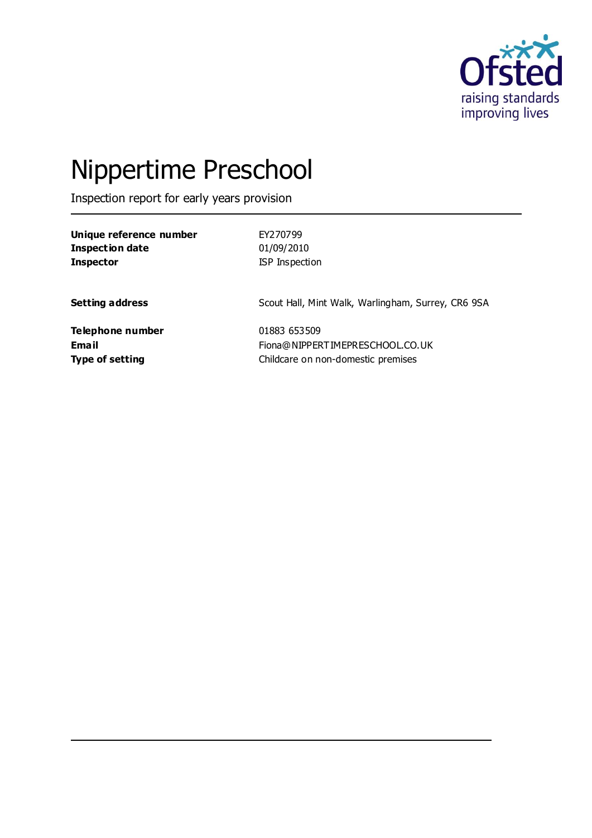

# Nippertime Preschool

Inspection report for early years provision

| Unique reference number | EY270799                                           |
|-------------------------|----------------------------------------------------|
| <b>Inspection date</b>  | 01/09/2010                                         |
| <b>Inspector</b>        | ISP Inspection                                     |
| <b>Setting address</b>  | Scout Hall, Mint Walk, Warlingham, Surrey, CR6 9SA |
| Telephone number        | 01883 653509                                       |
| Email                   | Fiona@NIPPERTIMEPRESCHOOL.CO.UK                    |
| <b>Type of setting</b>  | Childcare on non-domestic premises                 |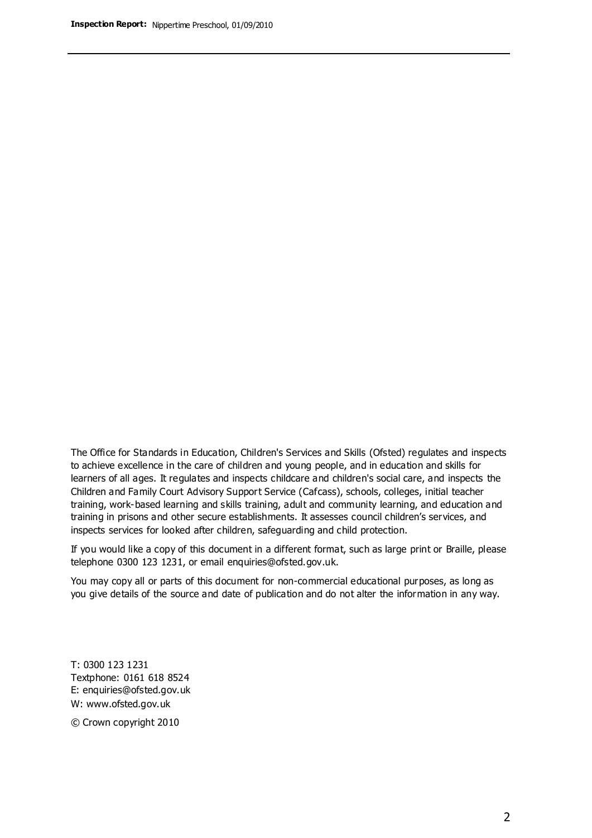The Office for Standards in Education, Children's Services and Skills (Ofsted) regulates and inspects to achieve excellence in the care of children and young people, and in education and skills for learners of all ages. It regulates and inspects childcare and children's social care, and inspects the Children and Family Court Advisory Support Service (Cafcass), schools, colleges, initial teacher training, work-based learning and skills training, adult and community learning, and education and training in prisons and other secure establishments. It assesses council children's services, and inspects services for looked after children, safeguarding and child protection.

If you would like a copy of this document in a different format, such as large print or Braille, please telephone 0300 123 1231, or email enquiries@ofsted.gov.uk.

You may copy all or parts of this document for non-commercial educational purposes, as long as you give details of the source and date of publication and do not alter the information in any way.

T: 0300 123 1231 Textphone: 0161 618 8524 E: enquiries@ofsted.gov.uk W: [www.ofsted.gov.uk](http://www.ofsted.gov.uk/)

© Crown copyright 2010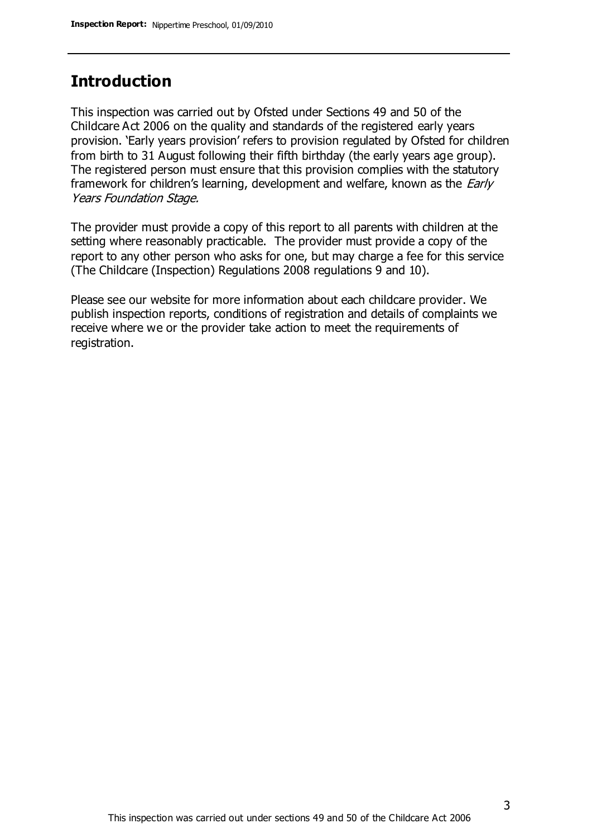## **Introduction**

This inspection was carried out by Ofsted under Sections 49 and 50 of the Childcare Act 2006 on the quality and standards of the registered early years provision. 'Early years provision' refers to provision regulated by Ofsted for children from birth to 31 August following their fifth birthday (the early years age group). The registered person must ensure that this provision complies with the statutory framework for children's learning, development and welfare, known as the *Early* Years Foundation Stage.

The provider must provide a copy of this report to all parents with children at the setting where reasonably practicable. The provider must provide a copy of the report to any other person who asks for one, but may charge a fee for this service (The Childcare (Inspection) Regulations 2008 regulations 9 and 10).

Please see our website for more information about each childcare provider. We publish inspection reports, conditions of registration and details of complaints we receive where we or the provider take action to meet the requirements of registration.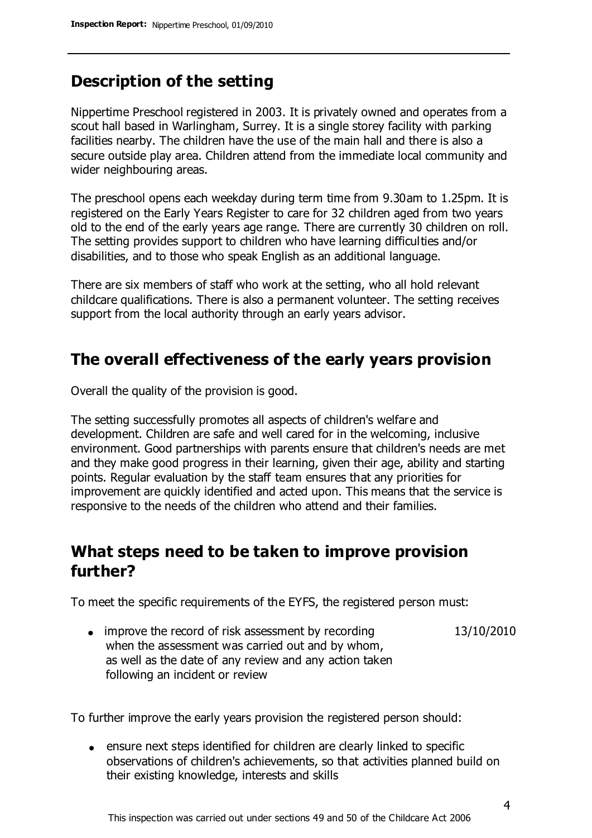# **Description of the setting**

Nippertime Preschool registered in 2003. It is privately owned and operates from a scout hall based in Warlingham, Surrey. It is a single storey facility with parking facilities nearby. The children have the use of the main hall and there is also a secure outside play area. Children attend from the immediate local community and wider neighbouring areas.

The preschool opens each weekday during term time from 9.30am to 1.25pm. It is registered on the Early Years Register to care for 32 children aged from two years old to the end of the early years age range. There are currently 30 children on roll. The setting provides support to children who have learning difficulties and/or disabilities, and to those who speak English as an additional language.

There are six members of staff who work at the setting, who all hold relevant childcare qualifications. There is also a permanent volunteer. The setting receives support from the local authority through an early years advisor.

## **The overall effectiveness of the early years provision**

Overall the quality of the provision is good.

The setting successfully promotes all aspects of children's welfare and development. Children are safe and well cared for in the welcoming, inclusive environment. Good partnerships with parents ensure that children's needs are met and they make good progress in their learning, given their age, ability and starting points. Regular evaluation by the staff team ensures that any priorities for improvement are quickly identified and acted upon. This means that the service is responsive to the needs of the children who attend and their families.

# **What steps need to be taken to improve provision further?**

To meet the specific requirements of the EYFS, the registered person must:

• improve the record of risk assessment by recording when the assessment was carried out and by whom, as well as the date of any review and any action taken following an incident or review 13/10/2010

To further improve the early years provision the registered person should:

ensure next steps identified for children are clearly linked to specific observations of children's achievements, so that activities planned build on their existing knowledge, interests and skills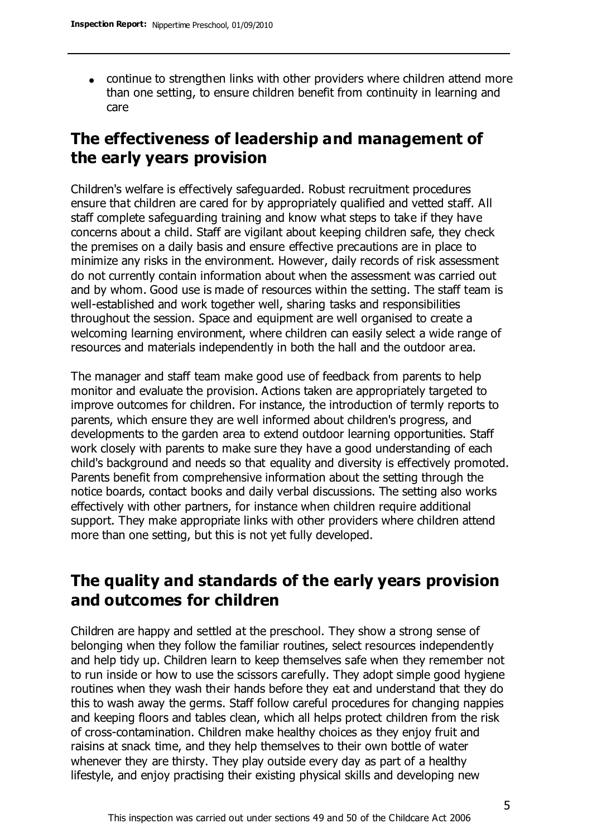continue to strengthen links with other providers where children attend more than one setting, to ensure children benefit from continuity in learning and care

# **The effectiveness of leadership and management of the early years provision**

Children's welfare is effectively safeguarded. Robust recruitment procedures ensure that children are cared for by appropriately qualified and vetted staff. All staff complete safeguarding training and know what steps to take if they have concerns about a child. Staff are vigilant about keeping children safe, they check the premises on a daily basis and ensure effective precautions are in place to minimize any risks in the environment. However, daily records of risk assessment do not currently contain information about when the assessment was carried out and by whom. Good use is made of resources within the setting. The staff team is well-established and work together well, sharing tasks and responsibilities throughout the session. Space and equipment are well organised to create a welcoming learning environment, where children can easily select a wide range of resources and materials independently in both the hall and the outdoor area.

The manager and staff team make good use of feedback from parents to help monitor and evaluate the provision. Actions taken are appropriately targeted to improve outcomes for children. For instance, the introduction of termly reports to parents, which ensure they are well informed about children's progress, and developments to the garden area to extend outdoor learning opportunities. Staff work closely with parents to make sure they have a good understanding of each child's background and needs so that equality and diversity is effectively promoted. Parents benefit from comprehensive information about the setting through the notice boards, contact books and daily verbal discussions. The setting also works effectively with other partners, for instance when children require additional support. They make appropriate links with other providers where children attend more than one setting, but this is not yet fully developed.

## **The quality and standards of the early years provision and outcomes for children**

Children are happy and settled at the preschool. They show a strong sense of belonging when they follow the familiar routines, select resources independently and help tidy up. Children learn to keep themselves safe when they remember not to run inside or how to use the scissors carefully. They adopt simple good hygiene routines when they wash their hands before they eat and understand that they do this to wash away the germs. Staff follow careful procedures for changing nappies and keeping floors and tables clean, which all helps protect children from the risk of cross-contamination. Children make healthy choices as they enjoy fruit and raisins at snack time, and they help themselves to their own bottle of water whenever they are thirsty. They play outside every day as part of a healthy lifestyle, and enjoy practising their existing physical skills and developing new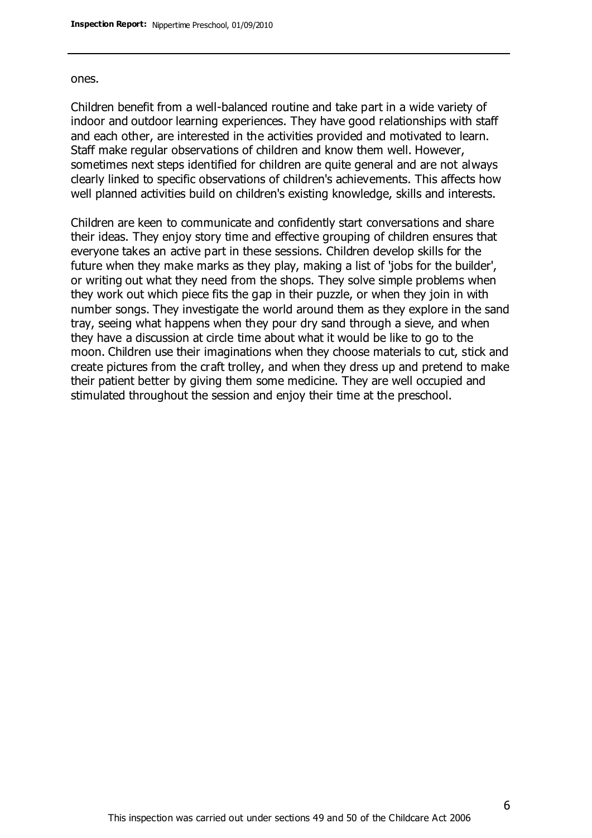#### ones.

Children benefit from a well-balanced routine and take part in a wide variety of indoor and outdoor learning experiences. They have good relationships with staff and each other, are interested in the activities provided and motivated to learn. Staff make regular observations of children and know them well. However, sometimes next steps identified for children are quite general and are not always clearly linked to specific observations of children's achievements. This affects how well planned activities build on children's existing knowledge, skills and interests.

Children are keen to communicate and confidently start conversations and share their ideas. They enjoy story time and effective grouping of children ensures that everyone takes an active part in these sessions. Children develop skills for the future when they make marks as they play, making a list of 'jobs for the builder', or writing out what they need from the shops. They solve simple problems when they work out which piece fits the gap in their puzzle, or when they join in with number songs. They investigate the world around them as they explore in the sand tray, seeing what happens when they pour dry sand through a sieve, and when they have a discussion at circle time about what it would be like to go to the moon. Children use their imaginations when they choose materials to cut, stick and create pictures from the craft trolley, and when they dress up and pretend to make their patient better by giving them some medicine. They are well occupied and stimulated throughout the session and enjoy their time at the preschool.